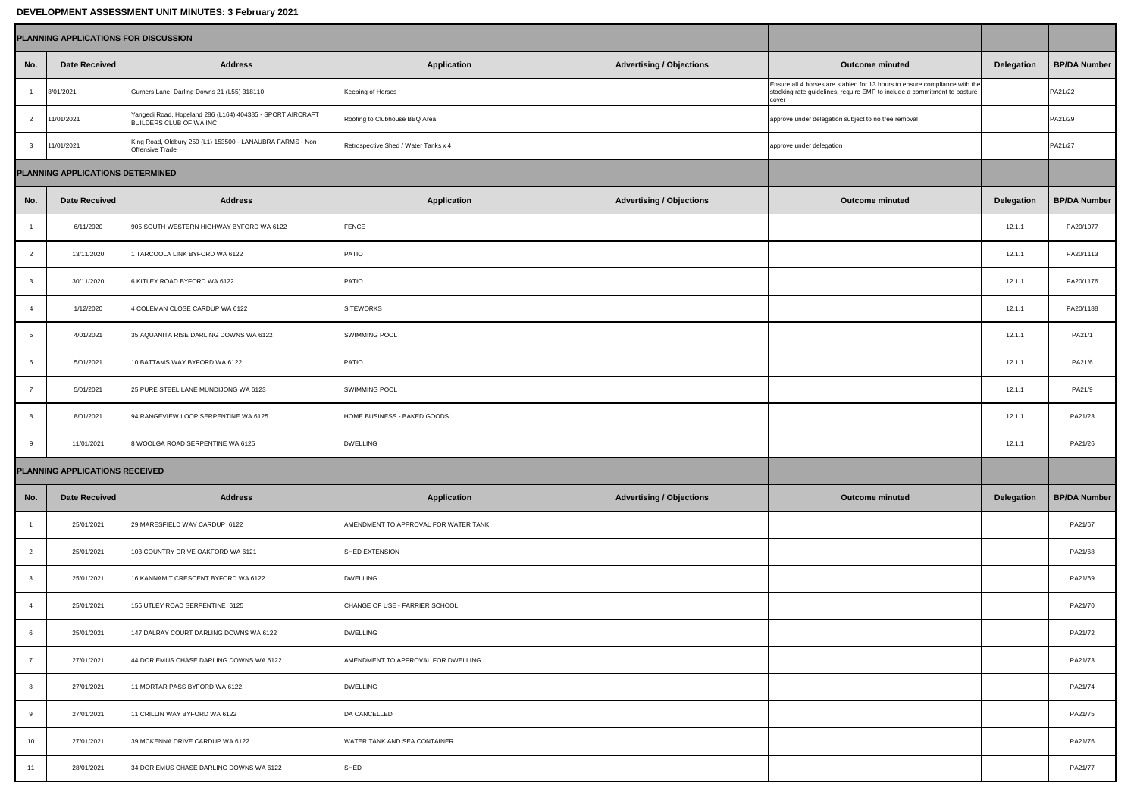| DEVELOPMENT ASSESSMENT UNIT MINUTES: 3 February 2021 |                      |                                                                                      |                                      |                                 |                                                                                                                                                                 |                   |                     |
|------------------------------------------------------|----------------------|--------------------------------------------------------------------------------------|--------------------------------------|---------------------------------|-----------------------------------------------------------------------------------------------------------------------------------------------------------------|-------------------|---------------------|
| <b>PLANNING APPLICATIONS FOR DISCUSSION</b>          |                      |                                                                                      |                                      |                                 |                                                                                                                                                                 |                   |                     |
| No.                                                  | <b>Date Received</b> | <b>Address</b>                                                                       | <b>Application</b>                   | <b>Advertising / Objections</b> | <b>Outcome minuted</b>                                                                                                                                          | <b>Delegation</b> | <b>BP/DA Number</b> |
|                                                      | 8/01/2021            | Gurners Lane, Darling Downs 21 (L55) 318110                                          | <b>Keeping of Horses</b>             |                                 | Ensure all 4 horses are stabled for 13 hours to ensure compliance with the<br>stocking rate guidelines, require EMP to include a commitment to pasture<br>cover |                   | PA21/22             |
| 2                                                    | 11/01/2021           | Yangedi Road, Hopeland 286 (L164) 404385 - SPORT AIRCRAFT<br>BUILDERS CLUB OF WA INC | Roofing to Clubhouse BBQ Area        |                                 | approve under delegation subject to no tree removal                                                                                                             |                   | PA21/29             |
| $\mathbf{3}$                                         | 11/01/2021           | King Road, Oldbury 259 (L1) 153500 - LANAUBRA FARMS - Non<br><b>Offensive Trade</b>  | Retrospective Shed / Water Tanks x 4 |                                 | approve under delegation                                                                                                                                        |                   | PA21/27             |
| <b>PLANNING APPLICATIONS DETERMINED</b>              |                      |                                                                                      |                                      |                                 |                                                                                                                                                                 |                   |                     |
| No.                                                  | <b>Date Received</b> | <b>Address</b>                                                                       | <b>Application</b>                   | <b>Advertising / Objections</b> | <b>Outcome minuted</b>                                                                                                                                          | <b>Delegation</b> | <b>BP/DA Number</b> |
|                                                      | 6/11/2020            | 905 SOUTH WESTERN HIGHWAY BYFORD WA 6122                                             | <b>FENCE</b>                         |                                 |                                                                                                                                                                 | 12.1.1            | PA20/1077           |
| $\overline{2}$                                       | 13/11/2020           | 1 TARCOOLA LINK BYFORD WA 6122                                                       | <b>PATIO</b>                         |                                 |                                                                                                                                                                 | 12.1.1            | PA20/1113           |
| 3                                                    | 30/11/2020           | 6 KITLEY ROAD BYFORD WA 6122                                                         | <b>PATIO</b>                         |                                 |                                                                                                                                                                 | 12.1.1            | PA20/1176           |
|                                                      | 1/12/2020            | 4 COLEMAN CLOSE CARDUP WA 6122                                                       | <b>SITEWORKS</b>                     |                                 |                                                                                                                                                                 | 12.1.1            | PA20/1188           |
| 5 <sup>5</sup>                                       | 4/01/2021            | 35 AQUANITA RISE DARLING DOWNS WA 6122                                               | <b>SWIMMING POOL</b>                 |                                 |                                                                                                                                                                 | 12.1.1            | PA21/1              |
| 6                                                    | 5/01/2021            | 10 BATTAMS WAY BYFORD WA 6122                                                        | <b>PATIO</b>                         |                                 |                                                                                                                                                                 | 12.1.1            | PA21/6              |
|                                                      | 5/01/2021            | 25 PURE STEEL LANE MUNDIJONG WA 6123                                                 | <b>SWIMMING POOL</b>                 |                                 |                                                                                                                                                                 | 12.1.1            | PA21/9              |
| 8                                                    | 8/01/2021            | 94 RANGEVIEW LOOP SERPENTINE WA 6125                                                 | HOME BUSINESS - BAKED GOODS          |                                 |                                                                                                                                                                 | 12.1.1            | PA21/23             |
| $\mathsf{Q}$                                         | 11/01/2021           | 8 WOOLGA ROAD SERPENTINE WA 6125                                                     | <b>DWELLING</b>                      |                                 |                                                                                                                                                                 | 12.1.1            | PA21/26             |
| <b>PLANNING APPLICATIONS RECEIVED</b>                |                      |                                                                                      |                                      |                                 |                                                                                                                                                                 |                   |                     |
| No.                                                  | <b>Date Received</b> | <b>Address</b>                                                                       | <b>Application</b>                   | <b>Advertising / Objections</b> | <b>Outcome minuted</b>                                                                                                                                          | <b>Delegation</b> | <b>BP/DA Number</b> |
|                                                      | 25/01/2021           | 29 MARESFIELD WAY CARDUP 6122                                                        | AMENDMENT TO APPROVAL FOR WATER TANK |                                 |                                                                                                                                                                 |                   | PA21/67             |
|                                                      | 25/01/2021           | 103 COUNTRY DRIVE OAKFORD WA 6121                                                    | <b>SHED EXTENSION</b>                |                                 |                                                                                                                                                                 |                   | PA21/68             |
|                                                      | 25/01/2021           | 16 KANNAMIT CRESCENT BYFORD WA 6122                                                  | <b>DWELLING</b>                      |                                 |                                                                                                                                                                 |                   | PA21/69             |
|                                                      | 25/01/2021           | 155 UTLEY ROAD SERPENTINE 6125                                                       | CHANGE OF USE - FARRIER SCHOOL       |                                 |                                                                                                                                                                 |                   | PA21/70             |
|                                                      | 25/01/2021           | 147 DALRAY COURT DARLING DOWNS WA 6122                                               | <b>DWELLING</b>                      |                                 |                                                                                                                                                                 |                   | PA21/72             |
|                                                      | 27/01/2021           | 44 DORIEMUS CHASE DARLING DOWNS WA 6122                                              | AMENDMENT TO APPROVAL FOR DWELLING   |                                 |                                                                                                                                                                 |                   | PA21/73             |
|                                                      | 27/01/2021           | 11 MORTAR PASS BYFORD WA 6122                                                        | <b>DWELLING</b>                      |                                 |                                                                                                                                                                 |                   | PA21/74             |
| 9                                                    | 27/01/2021           | 11 CRILLIN WAY BYFORD WA 6122                                                        | DA CANCELLED                         |                                 |                                                                                                                                                                 |                   | PA21/75             |
| 10 <sup>1</sup>                                      | 27/01/2021           | 39 MCKENNA DRIVE CARDUP WA 6122                                                      | <b>WATER TANK AND SEA CONTAINER</b>  |                                 |                                                                                                                                                                 |                   | PA21/76             |
| 11                                                   | 28/01/2021           | 34 DORIEMUS CHASE DARLING DOWNS WA 6122                                              | SHED                                 |                                 |                                                                                                                                                                 |                   | PA21/77             |